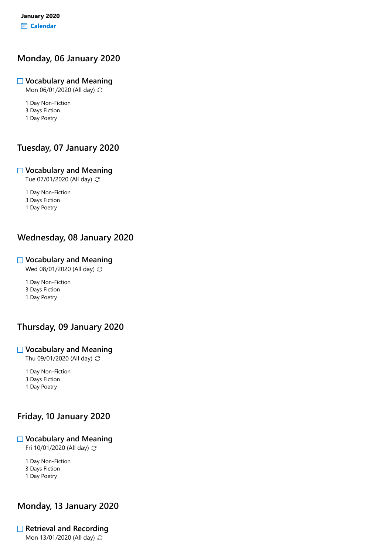## Monday, 06 January 2020

#### $\Box$  Vocabulary and Meaning

Mon 06/01/2020 (All day)  $\mathbb C$ 

1 Day Non-Fiction

3 Days Fiction

1 Day Poetry

# Tuesday, 07 January 2020

#### $\Box$  Vocabulary and Meaning

Tue 07/01/2020 (All day)

1 Day Non-Fiction

3 Days Fiction

1 Day Poetry

# Wednesday, 08 January 2020

### Vocabulary and Meaning

Wed 08/01/2020 (All day)  $\mathbb{C}$ 

1 Day Non-Fiction

3 Days Fiction

1 Day Poetry

# Thursday, 09 January 2020

#### $\Box$  Vocabulary and Meaning

Thu 09/01/2020 (All day)  $\mathbb{C}$ 

1 Day Non-Fiction

3 Days Fiction 1 Day Poetry

# Friday, 10 January 2020

### $\Box$  Vocabulary and Meaning

Fri 10/01/2020 (All day)

1 Day Non-Fiction

3 Days Fiction

1 Day Poetry

# Monday, 13 January 2020

# $\Box$  Retrieval and Recording

Mon 13/01/2020 (All day)  $\mathbb C$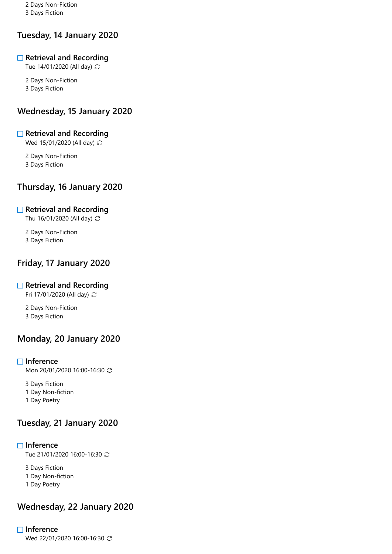2 Days Non-Fiction 3 Days Fiction

# Tuesday, 14 January 2020

#### $\Box$  Retrieval and Recording

Tue 14/01/2020 (All day)

2 Days Non-Fiction 3 Days Fiction

## Wednesday, 15 January 2020

#### $\Box$  Retrieval and Recording

Wed 15/01/2020 (All day)  $\mathbb{C}$ 

2 Days Non-Fiction 3 Days Fiction

## Thursday, 16 January 2020

#### $\Box$  Retrieval and Recording

Thu 16/01/2020 (All day)  $,$ 

2 Days Non-Fiction 3 Days Fiction

## Friday, 17 January 2020

#### $\Box$  Retrieval and Recording

Fri 17/01/2020 (All day)

2 Days Non-Fiction 3 Days Fiction

## Monday, 20 January 2020

#### $\Box$  Inference

Mon 20/01/2020 16:00-16:30  $\degree$ 

3 Days Fiction 1 Day Non-fiction

1 Day Poetry

# Tuesday, 21 January 2020

#### $\Box$  Inference

Tue 21/01/2020 16:00-16:30 C

3 Days Fiction 1 Day Non-fiction 1 Day Poetry

## Wednesday, 22 January 2020

# $\Box$  Inference

Wed 22/01/2020 16:00-16:30 C